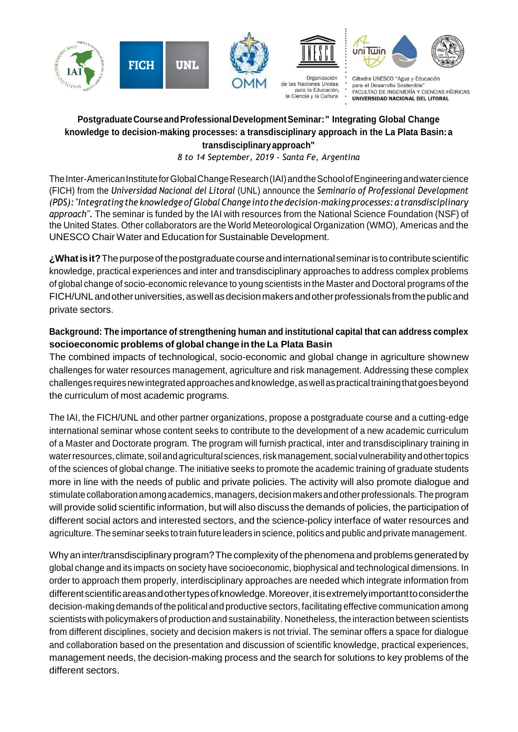



para la Educación,

la Ciencia y la Cultura





Cátedra UNESCO "Agua y Educación para el Desarrollo Sostenible" FACULTAD DE INGENIERÍA Y CIENCIAS HÍDRICAS UNIVERSIDAD NACIONAL DEL LITORAL

# **PostgraduateCourseandProfessionalDevelopmentSeminar:" Integrating Global Change knowledge to decision-making processes: a transdisciplinary approach in the La Plata Basin:a transdisciplinaryapproach"**

*8 to 14 September, 2019 - Santa Fe, Argentina*

The Inter-American Institute for Global Change Research (IAI) and the School of Engineering and water cience (FICH) from the *Universidad Nacional del Litoral* (UNL) announce the *Seminario of Professional Development (PDS):"Integrating theknowledge ofGlobalChange into the decision-making processes: atransdisciplinary approach".* The seminar is funded by the IAI with resources from the National Science Foundation (NSF) of the United States. Other collaborators are the World Meteorological Organization (WMO), Americas and the UNESCO Chair Water and Education for Sustainable Development.

**¿Whatisit?**Thepurposeof thepostgraduatecourseandinternationalseminaris tocontributescientific knowledge, practical experiences and inter and transdisciplinary approaches to address complex problems of global change of socio-economic relevance to young scientists in the Master and Doctoral programs of the FICH/UNLandotheruniversities,aswellasdecisionmakersandotherprofessionals fromthepublicand private sectors.

## **Background: The importance of strengthening human and institutional capital that can address complex socioeconomic problems of global change inthe La Plata Basin**

The combined impacts of technological, socio-economic and global change in agriculture shownew challenges for water resources management, agriculture and risk management. Addressing these complex challenges requiresnewintegratedapproachesandknowledge, aswellaspracticaltrainingthatgoesbeyond the curriculum of most academic programs.

The IAI, the FICH/UNL and other partner organizations, propose a postgraduate course and a cutting-edge international seminar whose content seeks to contribute to the development of a new academic curriculum of a Master and Doctorate program. The program will furnish practical, inter and transdisciplinary training in waterresources, climate, soilandagriculturalsciences,riskmanagement, socialvulnerability andothertopics of the sciences of global change. The initiative seeks to promote the academic training of graduate students more in line with the needs of public and private policies. The activity will also promote dialogue and stimulate collaboration among academics, managers, decision makers and other professionals. The program will provide solid scientific information, but will also discuss the demands of policies, the participation of different social actors and interested sectors, and the science-policy interface of water resources and agriculture. The seminar seeks to train future leaders in science, politics and public and private management.

Why an inter/transdisciplinary program?The complexity of thephenomena and problems generated by global change and its impacts on society have socioeconomic, biophysical and technological dimensions. In order to approach them properly, interdisciplinary approaches are needed which integrate information from different scientific areas and other types of knowledge. Moreover, it is extremely important to consider the decision-making demands of the political and productive sectors, facilitating effective communication among scientists with policymakers of production and sustainability. Nonetheless, the interaction between scientists from different disciplines, society and decision makers is not trivial. The seminar offers a space for dialogue and collaboration based on the presentation and discussion of scientific knowledge, practical experiences, management needs, the decision-making process and the search for solutions to key problems of the different sectors.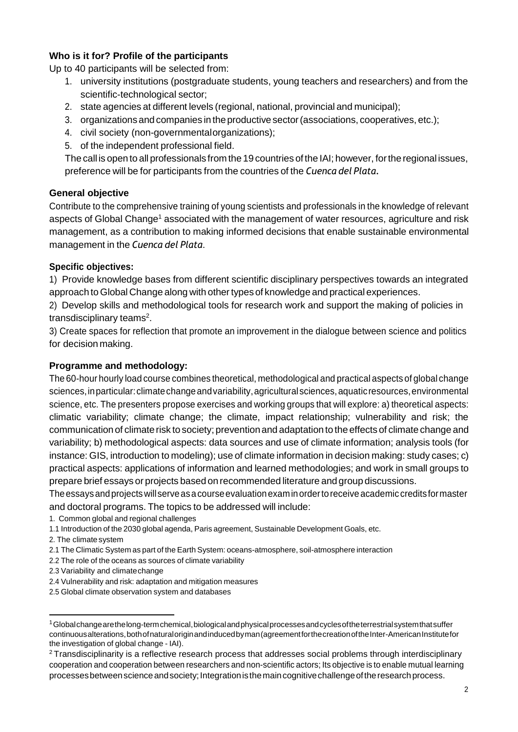## **Who is it for? Profile of the participants**

Up to 40 participants will be selected from:

- 1. university institutions (postgraduate students, young teachers and researchers) and from the scientific-technological sector;
- 2. state agencies at different levels (regional, national, provincial and municipal);
- 3. organizations and companies in theproductive sector(associations, cooperatives, etc.);
- 4. civil society (non-governmentalorganizations);
- 5. of the independent professional field.

The call is open to all professionals from the 19 countries of the IAI; however, fortheregional issues, preference will be for participants from the countries of the *Cuenca del Plata.*

## **General objective**

Contribute to the comprehensive training of young scientists and professionals in the knowledge of relevant aspects of Global Change<sup>1</sup> associated with the management of water resources, agriculture and risk management, as a contribution to making informed decisions that enable sustainable environmental management in the *Cuenca del Plata*.

## **Specific objectives:**

1) Provide knowledge bases from different scientific disciplinary perspectives towards an integrated approach toGlobal Change along with othertypes of knowledge and practical experiences.

2) Develop skills and methodological tools for research work and support the making of policies in transdisciplinary teams<sup>2</sup>.

3) Create spaces for reflection that promote an improvement in the dialogue between science and politics for decision making.

### **Programme and methodology:**

The 60-hour hourly load course combines theoretical, methodological and practical aspects of global change sciences, in particular: climate change and variability, agricultural sciences, aquatic resources, environmental science, etc. The presenters propose exercises and working groups that will explore: a) theoretical aspects: climatic variability; climate change; the climate, impact relationship; vulnerability and risk; the communication of climate risk to society; prevention and adaptation to the effects of climate change and variability; b) methodological aspects: data sources and use of climate information; analysis tools (for instance: GIS, introduction to modeling); use of climate information in decision making: study cases; c) practical aspects: applications of information and learned methodologies; and work in small groups to prepare brief essays or projects based on recommended literature and group discussions.

Theessaysandprojectswillserveasacourseevaluationexaminordertoreceive academic creditsformaster and doctoral programs. The topics to be addressed will include:

1. Common global and regional challenges

2. The climate system

- 2.1 The Climatic System as part of the Earth System: oceans-atmosphere, soil-atmosphere interaction
- 2.2 The role of the oceans as sources of climate variability
- 2.3 Variability and climatechange
- 2.4 Vulnerability and risk: adaptation and mitigation measures

2.5 Global climate observation system and databases

<sup>1.1</sup> Introduction of the 2030 global agenda, Paris agreement, Sustainable Development Goals, etc.

 $1$ Globalchange arethelong-term chemical, biological and physical processes and cycles of the terrestrial system that suffer continuousalterations,bothofnaturaloriginandinducedbyman(agreementforthecreationoftheInter-AmericanInstitutefor the investigation of global change - IAI).

<sup>2</sup>Transdisciplinarity is a reflective research process that addresses social problems through interdisciplinary cooperation and cooperation between researchers and non-scientific actors; Its objective is to enable mutual learning processes between science and society; Integration is the main cognitive challenge of the research process.